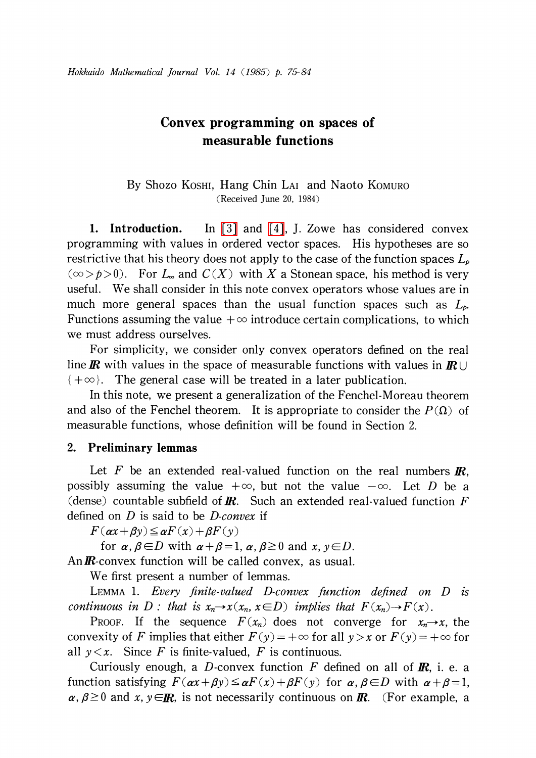# Convex programming on spaces of measurable functions

### By Shozo KOSHI, Hang Chin LAI and Naoto KOMURO (Received June 20, 1984)

1. Introduction. In [\[3\]](#page-9-0) and [\[4\],](#page-9-1) J. Zowe has considered convex programming with values in ordered vector spaces. His hypotheses are so restrictive that his theory does not apply to the case of the function spaces  $L_{p}$  $(\infty > p>0)$ . For  $L_{\infty}$  and  $C(X)$  with X a Stonean space, his method is very useful. We shall consider in this note convex operators whose values are in much more general spaces than the usual function spaces such as  $L_{p}$ . Functions assuming the value  $+\infty$  introduce certain complications, to which we must address ourselves.

For simplicity, we consider only convex operators defined on the real line **R** with values in the space of measurable functions with values in  $\mathbb{R}$  $\{+\infty\}$ . The general case will be treated in a later publication.

In this note, we present a generalization of the Fenchel-Moreau theorem and also of the Fenchel theorem. It is appropriate to consider the  $P(\Omega)$  of measurable functions, whose definition will be found in Section 2.

## 2. Preliminary lemmas

Let F be an extended real-valued function on the real numbers  $\mathbf{R}$ , possibly assuming the value  $+\infty$ , but not the value  $-\infty$ . Let D be a (dense) countable subfield of **R**. Such an extended real-valued function F defined on  $D$  is said to be  $D$ -convex if

 $F(\alpha x+\beta y)\leq \alpha F(x)+\beta F(y)$ 

for  $\alpha$ ,  $\beta \in D$  with  $\alpha+\beta=1 , \alpha, \beta\geq 0$  and  $x, y\in D$ .

An  $\mathbb{R}$ -convex function will be called convex, as usual.

We first present a number of lemmas.

LEMMA 1. Every finite-valued  $D$ -convex function defined on  $D$  is continuous in D : that is  $x_{n}\rightarrow x(x_{n}, x\in D)$  implies that  $F(x_{n})\rightarrow F(x)$ .

PROOF. If the sequence  $F(x_{n})$  does not converge for  $x_{n}\rightarrow x$ , the convexity of F implies that either  $F(y) = +\infty$  for all  $y > x$  or  $F(y) = +\infty$  for all  $y \leq x$ . Since F is finite-valued, F is continuous.

Curiously enough, a D-convex function F defined on all of  $\mathbf{R}$ , i. e. a function satisfying  $F(\alpha x+\beta y)\leq \alpha F(x)+\beta F(y)$  for  $\alpha, \beta\in D$  with  $\alpha+\beta=1 ,$  $\alpha, \beta \geq 0$  and  $x, y \in \mathbb{R}$ , is not necessarily continuous on  $\mathbb{R}$ . (For example, a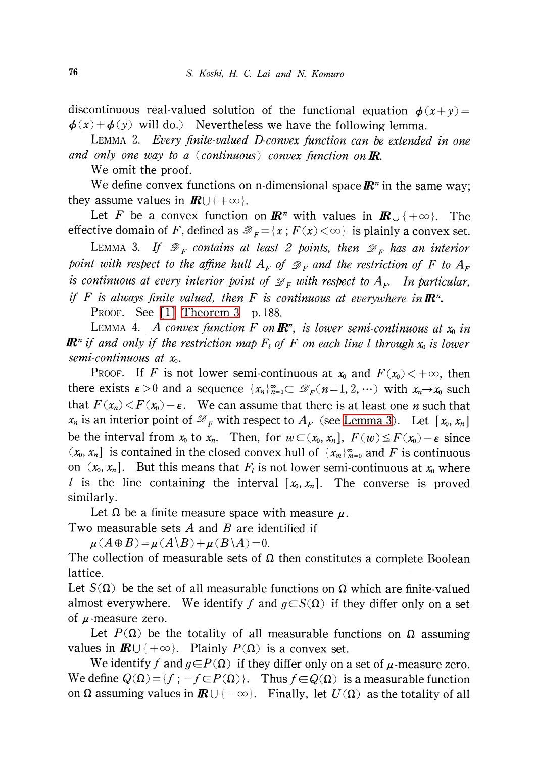discontinuous real-valued solution of the functional equation  $\phi(x+y)=$  $\phi(x)+\phi(y)$  will do.) Nevertheless we have the following lemma.

<span id="page-1-1"></span>LEMMA 2. Every finite-valued D-convex function can be extended in one and only one way to a (continuous) convex function on  $\mathbb{R}$ .

We omit the proof.

We define convex functions on n-dimensional space  $\mathbb{R}^{n}$  in the same way; they assume values in  $I\!\!R\cup\{+\infty\}$ .

Let F be a convex function on  $\mathbb{R}^{n}$  with values in  $\mathbb{R}\cup\{+\infty\}$ . The effective domain of F, defined as  $\mathcal{D}_{F}=\{x;F(x)<\infty\}$  is plainly a convex set.

<span id="page-1-0"></span>LEMMA 3. If  $\mathcal{D}_{F}$  contains at least 2 points, then  $\mathcal{D}_{F}$  has an interior point with respect to the affine hull  $A_{F}$  of  $\mathcal{D}_{F}$  and the restriction of F to  $A_{F}$ is continuous at every interior point of  $\mathcal{D}_{F}$  with respect to  $A_{F}$ . In particular, if F is always finite valued, then F is continuous at everywhere in  $\mathbb{R}^{n}$ .

PROOF. See [\[1\]](#page-9-2) [Theorem](#page-8-0) 3 p. 188.

LEMMA 4. A convex function F on  $\mathbb{R}^{n}$ , is lower semi-continuous at  $x_0$  in **IR**<sup>n</sup> if and only if the restriction map  $F_{l}$  of F on each line l through  $x_{0}$  is lower semi-continuous at  $x_{0}$ .

PROOF. If F is not lower semi-continuous at  $x_{0}$  and  $F(x_{0})<+\infty$ , then there exists  $\epsilon>0$  and a sequence  $\{x_{n}\}_{n=1}^{\infty}\subset \mathcal{D}_{F}(n=1, 2, \cdots)$  with  $x_{n}\rightarrow x_{0}$  such that  $F(x_{n})< F(x_{0})-\varepsilon$ . We can assume that there is at least one *n* such that  $x_{n}$  is an interior point of  $\mathcal{D}_{F}$  with respect to  $A_{F}$  (see [Lemma](#page-1-0) 3). Let  $[x_{0}, x_{n}]$ be the interval from  $x_{0}$  to  $x_{n}$ . Then, for  $w\in(x_{0}, x_{n}]$ ,  $F(w)\leq F(x_{0})-\varepsilon$  since  $(x_{0}, x_{n}]$  is contained in the closed convex hull of  $\{x_{m}\}_{m=0}^{\infty}$  and F is continuous on  $(x_{0}, x_{n}]$ . But this means that  $F_{l}$  is not lower semi-continuous at  $x_{0}$  where *l* is the line containing the interval  $[x_{0}, x_{n}]$ . The converse is proved similarly.

Let  $\Omega$  be a finite measure space with measure  $\mu$ .

Two measurable sets  $A$  and  $B$  are identified if

 $\mu(A\oplus B)=\mu(A\backslash B)+\mu(B\backslash A)=0.$ 

The collection of measurable sets of  $\Omega$  then constitutes a complete Boolean lattice.

Let  $S(\Omega)$  be the set of all measurable functions on  $\Omega$  which are finite-valued almost everywhere. We identify f and  $g\in S(\Omega)$  if they differ only on a set of  $\mu$ -measure zero.

Let  $P(\Omega)$  be the totality of all measurable functions on  $\Omega$  assuming values in  $\mathbb{R}\cup\{+\infty\}$ . Plainly  $P(\Omega)$  is a convex set.

We identify f and  $g \in P(\Omega)$  if they differ only on a set of  $\mu$ -measure zero. We define  $Q(\Omega)=\{f ; -f\in P(\Omega)\}$ . Thus  $f\in Q(\Omega)$  is a measurable function on  $\Omega$  assuming values in  $\mathbb{R} \cup \{-\infty\}$ . Finally, let  $U(\Omega)$  as the totality of all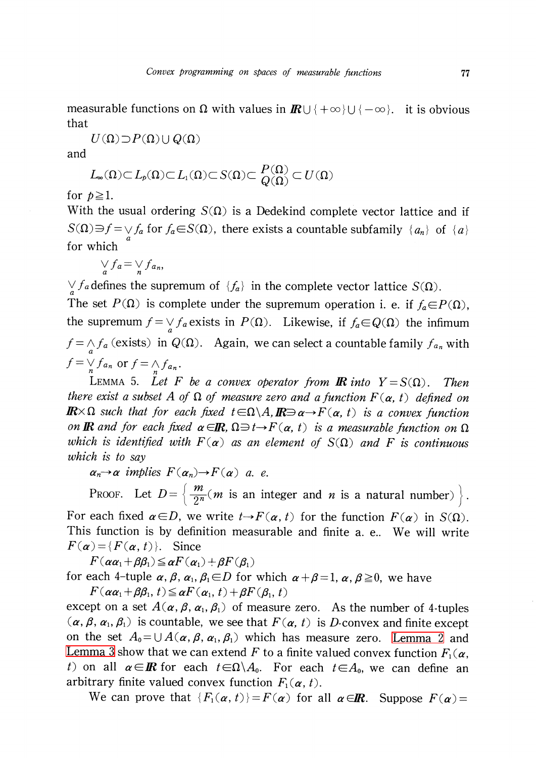measurable functions on  $\Omega$  with values in  $\mathbb{R}\cup\{+\infty\}\cup\{-\infty\}$ . it is obvious that

$$
U(\Omega)\!\supset\!P(\Omega)\cup Q(\Omega)
$$

and

$$
L_{\infty}(\Omega) \subset L_p(\Omega) \subset L_1(\Omega) \subset S(\Omega) \subset \frac{P(\Omega)}{Q(\Omega)} \subset U(\Omega)
$$

for  $p \geq 1$ .

With the usual ordering  $S(\Omega)$  is a Dedekind complete vector lattice and if  $S(\Omega)\ni f=\bigvee f_{a}$  for  $f_{a}\in S(\Omega)$ , there exists a countable subfamily  $\{a_{n}\}\$  of  $\{a\}$ for which

$$
\bigvee_a f_a = \bigvee_n f_{a_n},
$$

 $\vee f_{a}$  defines the supremum of  $\{f_{a}\}\$ in the complete vector lattice  $S(\Omega)$ .

The set  $P(\Omega)$  is complete under the supremum operation i. e. if  $f_{a} \in P(\Omega)$ , the supremum  $f=\bigvee_{a} f_{a}$  exists in  $P(\Omega)$ . Likewise, if  $f_{a}\in Q(\Omega)$  the infimum  $f=\bigwedge_{a} f_{a}$  (exists) in  $Q(\Omega)$ . Again, we can select a countable family  $f_{a_{n}}$  with  $f = \bigvee_{n} f_{a_{n}}$  or  $f = \bigwedge_{n} f_{a_{n}}$ .

<span id="page-2-0"></span>LEMMA 5. Let F be a convex operator from **IR** into  $Y = S(\Omega)$ . Then there exist a subset A of  $\Omega$  of measure zero and a function  $F(\alpha, t)$  defined on  $\mathbb{R}\times\Omega$  such that for each fixed  $t\in\Omega\setminus A$ ,  $\mathbb{R}\ni\alpha\rightarrow F(\alpha, t)$  is a convex function on **IR** and for each fixed  $\alpha \in \mathbb{R}$ ,  $\Omega \ni t \rightarrow F(\alpha, t)$  is a measurable function on  $\Omega$ which is identified with  $F(\alpha)$  as an element of  $S(\Omega)$  and F is continuous which is to say

 $\alpha_{n} \rightarrow \alpha$  implies  $F(\alpha_{n}) \rightarrow F(\alpha)$  a. e.

PROOF. Let  $D = \{\frac{m}{2^n} ( m \text{ is an integer and } n \text{ is a natural number}) \}$ . For each fixed  $\alpha\!\in\! D$ , we write  $t\!\rightarrow\! F(\alpha, t)$  for the function  $F(\alpha)$  in S( $\Omega$ ). This function is by definition measurable and finite a. e.. We will write  $F(\alpha)=\{F(\alpha, t)\}$ . Since

 $F(\alpha\alpha_{1}+\beta\beta_{1})\leq\alpha F(\alpha_{1})+\beta F(\beta_{1})$ 

for each 4-tuple  $\alpha$ ,  $\beta$ ,  $\alpha_{1}$ ,  $\beta_{1}$   $\in$   $D$  for which  $\alpha+\beta=1,$   $\alpha$ ,  $\beta$   $\geq$   $0$ , we have  $F(\alpha\alpha_{1}+\beta\beta_{1}, t)\leq\alpha F(\alpha_{1}, t)+\beta F(\beta_{1}, t)$ 

except on a set  $A(\alpha, \beta, \alpha_{1}, \beta_{1})$  of measure zero. As the number of 4-tuples  $(\alpha, \beta, \alpha_{1}, \beta_{1})$  is countable, we see that  $F(\alpha, t)$  is D-convex and finite except on the set  $A_{0}=\cup A(\alpha, \beta, \alpha_{1}, \beta_{1})$  which has measure zero. [Lemma](#page-1-1) 2 and [Lemma](#page-1-0) 3 show that we can extend  $F$  to a finite valued convex function  $F_{1}(\alpha)$ t) on all  $\alpha\!\in\!I\!\!R$  for each  $t\!\in\!\Omega\backslash A_{0}$ . For each  $t\!\in\!\! A_{0}$ , we can define an arbitrary finite valued convex function  $F_{1}(\alpha, t)$ .

We can prove that  $\{ F_{1}(\alpha, t)\}=F(\alpha)$  for all  $\alpha\in \mathbb{R}$ . Suppose  $F(\alpha)=$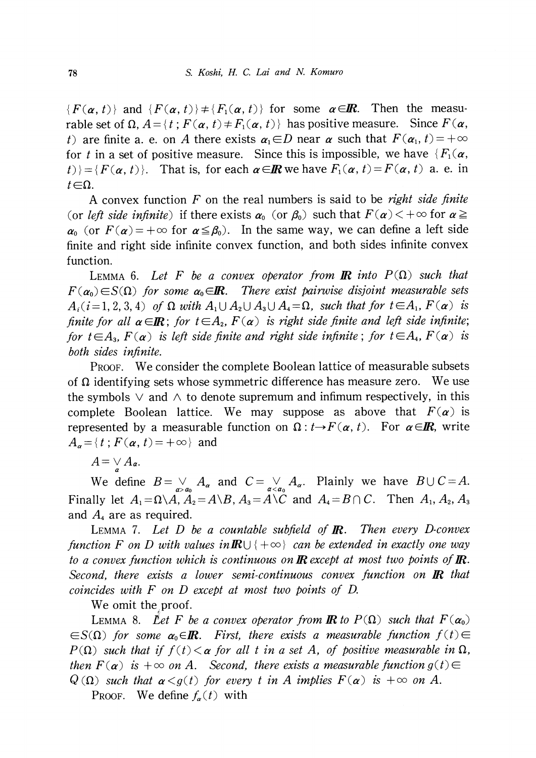$\{F(\alpha, t)\}\$  and  $\{ F(\alpha, t)\}\neq\{F_{1}(\alpha, t)\}\$  for some  $\alpha\in \mathbb{R}$ . Then the measurable set of  $\Omega$ ,  $A = \{t; F(\alpha, t) \neq F_{1}(\alpha, t)\}$  has positive measure. Since  $F(\alpha, t)$ t) are finite a. e. on A there exists  $\alpha_{1}\in D$  near  $\alpha$  such that  $F(\alpha_{1}, t)=+\infty$ for t in a set of positive measure. Since this is impossible, we have  $\{ F_{1}(\alpha, \alpha)\}$  $|t\rangle\}=\{F(\alpha, t)\}.$  That is, for each  $\alpha\in \mathbb{R}$  we have  $F_{1}(\alpha, t)=F(\alpha, t)$  a. e. in  $t\mathsf{\in}\Omega$  .

A convex function F on the real numbers is said to be *right side finite* (or left side infinite) if there exists  $\alpha_{0}$  (or  $\beta_{0}$ ) such that  $F(\alpha)$  <  $+\infty$  for  $\alpha \geq$  $\alpha_{0}$  (or  $F(\alpha)=+\infty$  for  $\alpha\leq\beta_{0}$ ). In the same way, we can define a left side finite and right side infinite convex function, and both sides infinite convex function.

LEMMA 6. Let F be a convex operator from **IR** into  $P(\Omega)$  such that  $F(\alpha_{0})\in S(\Omega)$  for some  $\alpha_{0}\in \mathbb{R}$ . There exist pairwise disjoint measurable sets  $A_{i}$  (i=1,2,3,4) of  $\Omega$  with  $A_{1}\cup A_{2}\cup A_{3}\cup A_{4}=\Omega$ , such that for  $t\in A_{1}$ ,  $F(\alpha)$  is finite for all  $\alpha \in \mathbb{R}$ ; for  $t \in A_{2}$ ,  $F(\alpha)$  is right side finite and left side infinite; for  $t\in A_{3}$ ,  $F(\alpha)$  is left side finite and right side infinite; for  $t\in A_{4}$ ,  $F(\alpha)$  is both sides infinite.

PROOF. We consider the complete Boolean lattice of measurable subsets of  $\Omega$  identifying sets whose symmetric difference has measure zero. We use the symbols  $\vee$  and  $\wedge$  to denote supremum and infimum respectively, in this complete Boolean lattice. We may suppose as above that  $F(\alpha)$  is represented by a measurable function on  $\Omega : t \rightarrow F(\alpha, t)$ . For  $\alpha \in \mathbb{R}$ , write  $A_{\alpha}=\{t;F(\alpha, t)=+\infty\}$  and

 $A=\mathop{\vee}\limits_{\alpha} A_{\alpha}$ .

We define  $B=\bigvee_{a>a_0} A_{a}$  and  $C=\bigvee_{a\le a_0} A_{a}$ . Plainly we have  $B\cup C=A$ . Finally let  $A_{1} = \Omega \backslash A$ ,  $A_{2} = A \backslash B$ ,  $A_{3} = A \backslash C$  and  $A_{4} = B \cap C$ . Then  $A_{1}$ ,  $A_{2}$ ,  $A_{3}$ and  $A_{4}$  are as required.

<span id="page-3-1"></span>LEMMA 7. Let  $D$  be a countable subfield of  $\mathbb{R}$ . Then every D-convex function F on D with values in  $\mathbb{R}\cup\{+\infty\}$  can be extended in exactly one way to a convex function which is continuous on  $\mathbb R$  except at most two points of  $\mathbb R$ . Second, there exists a lower semi-continuous convex function on  $\mathbb{R}$  that coincides with F on D except at most two points of D.

<span id="page-3-0"></span>We omit the proof.

LEMMA 8. Let F be a convex operator from **IR** to  $P(\Omega)$  such that  $F(\alpha_{0})$  $\in$ S( $\Omega$ ) for some  $\alpha_{0}\in I\!\!R$ . First, there exists a measurable function  $f(t)\in$  $P(\Omega)$  such that if  $f(t) < \alpha$  for all t in a set A, of positive measurable in  $\Omega$ , then  $F(\alpha)$  is  $+\infty$  on A. Second, there exists a measurable function  $g(t)\in$  $Q(\Omega)$  such that  $\alpha < g(t)$  for every t in A implies  $F(\alpha)$  is  $+\infty$  on A.

PROOF. We define  $f_{\alpha}(t)$  with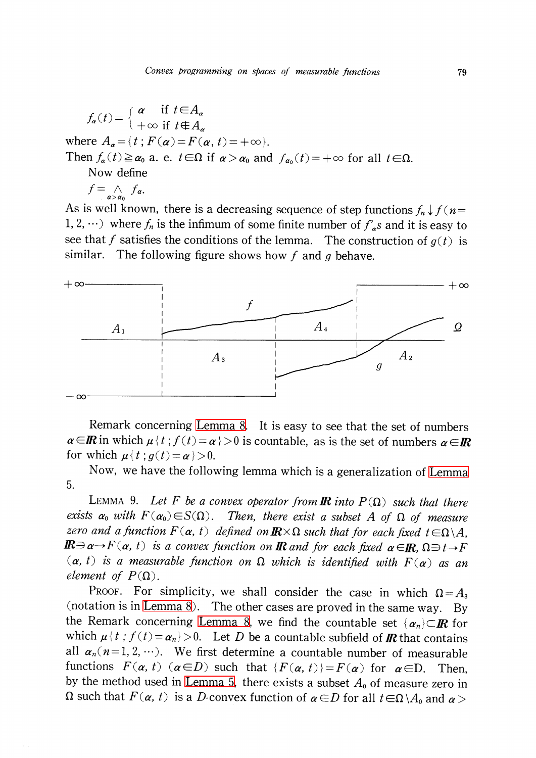$$
f_{\alpha}(t) = \begin{cases} \alpha & \text{if } t \in A_{\alpha} \\ +\infty & \text{if } t \notin A_{\alpha} \end{cases}
$$
  
where  $A_{\alpha} = \{t : F(\alpha) = F(\alpha, t) = +\infty\}$ .  
Then  $f_{\alpha}(t) \ge \alpha_0$  a. e.  $t \in \Omega$  if  $\alpha > \alpha_0$  and  $f_{\alpha_0}(t) = +\infty$  for all  $t \in \Omega$ .  
Now define  
 $f = \bigwedge_{\alpha > \alpha_0} f_{\alpha}$ .

As is well known, there is a decreasing sequence of step functions  $f_{n}\downarrow f(n=$ 1, 2,  $\cdots$ ) where  $f_{n}$  is the infimum of some finite number of  $f_{a}'s$  and it is easy to see that f satisfies the conditions of the lemma. The construction of  $g(t)$  is similar. The following figure shows how  $f$  and  $g$  behave.



Remark concerning [Lemma](#page-3-0) 8. It is easy to see that the set of numbers  $\alpha \in\!\mathbb{R}$  in which  $\mu \{ t; f(t)=\alpha\}$  is countable, as is the set of numbers  $\alpha \in\!\mathbb{R}$ for which  $\mu \{ t; g(t)=\alpha\}\geq 0$ .

Now, we have the following lemma which is <sup>a</sup> generalization of [Lemma](#page-2-0) 5.

<span id="page-4-0"></span>LEMMA 9. Let F be a convex operator from **IR** into  $P(\Omega)$  such that there exists  $\alpha_{0}$  with  $F(\alpha_{0}){\in}S(\Omega)$ . Then, there exist a subset  $A$  of  $\Omega$  of measure zero and a function  $F(\alpha, t)$  defined on  $\pmb{\mathbb{R}} \times \Omega$  such that for each fixed  $t\in\Omega\backslash A$ ,  $I\!\!R\!\!\Rightarrow$  a $\rightarrow$  F(a, t) is a convex function on  $I\!\!R$  and for each fixed  $\alpha\!\in\!\!I\!\!R$ ,  $\Omega\!\!\Rightarrow$  t $\rightarrow$  F  $(\alpha, t)$  is a measurable function on  $\Omega$  which is identified with  $F(\alpha)$  as an element of  $P(\Omega)$ .

PROOF. For simplicity, we shall consider the case in which  $\Omega=A_{3}$ (notation is in [Lemma](#page-3-0) 8). The other cases are proved in the same way. By the Remark concerning [Lemma](#page-3-0) 8, we find the countable set  $\{\alpha_{n}\}\subset \mathbb{R}$  for which  $\mu \{ t; f(t)=\alpha_{n}\}>0$ . Let D be a countable subfield of **IR** that contains all  $\alpha_{n}(n=1,2, \dots)$ . We first determine a countable number of measurable functions  $F(\alpha, t)(\alpha \in D)$  such that  $\{ F(\alpha, t)\}=F(\alpha)$  for  $\alpha\in D$ . . Then, by the method used in [Lemma](#page-2-0) 5, there exists a subset  $A_{0}$  of measure zero in  $\Omega$  such that  $F(\alpha, t)$  is a D-convex function of  $\alpha \in D$  for all  $t\in\Omega\setminus A_{0}$  and  $\alpha>$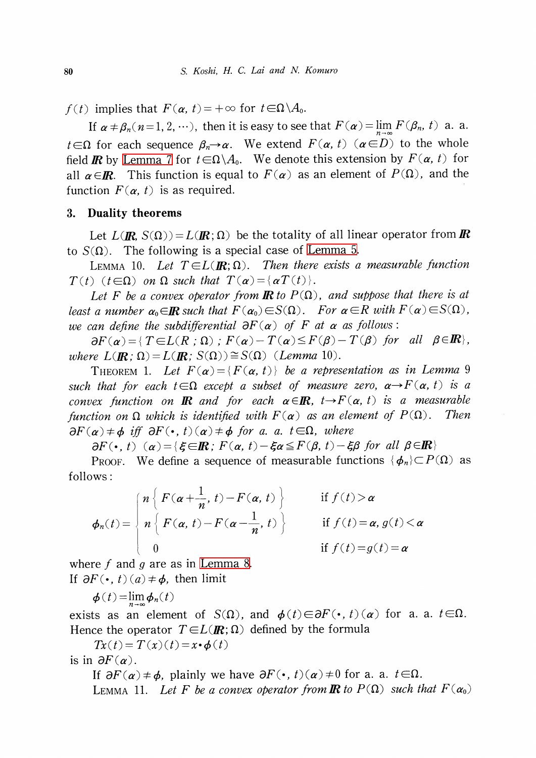$f(t)$  implies that  $F(\alpha, t) = +\infty$  for  $t\in\Omega\backslash A_{0}$ .

If  $\alpha \neq \beta_{n}(n=1, 2, \cdots)$ , then it is easy to see that  $F(\alpha)=\lim_{n\to\infty}F(\beta_{n}, t)$  a. a.  $t\!\in\!\!\Omega$  for each sequence  $\beta_{n}\!\!\rightarrow\!\alpha.$  We extend  $F(\alpha, t)$   $(\alpha\!\in\! D)$  to the whole field  $\bm{R}$  by [Lemma](#page-3-1) 7 for  $t\in\Omega\backslash A_{0}$ . We denote this extension by  $F(\bm{\alpha}, t)$  for all  $\alpha\!\in\!\!I\!\!R$ . This function is equal to  $F(\alpha)$  as an element of  $P(\Omega)$ , and the function  $F(\alpha, t)$  is as required.

#### 3. Duality theorems

Let  $L(\mathbf{R}, S(\Omega))=L(\mathbf{R};\Omega)$  be the totality of all linear operator from  $\mathbf{R}$ to  $S(\Omega)$ . The following is a special case of [Lemma](#page-2-0) 5.

<span id="page-5-1"></span>LEMMA 10. Let  $T\in L(\mathbb{R};\Omega)$ . Then there exists a measurable function  $T(t)(t\in\Omega)$  on  $\Omega$  such that  $T(\alpha)=\{\alpha T(t)\}$ .

Let F be a convex operator from **R** to  $P(\Omega)$ , and suppose that there is at least a number  $\alpha_{0} \in I\!\!R$  such that  $F(\alpha_{0})\!\in\! S(\Omega)$ . For  $\alpha\!\in\! R$  with  $F(\alpha)\!\in\! S(\Omega)$ , we can define the subdifferential  $\partial F(\alpha)$  of F at  $\alpha$  as follows:

 $\partial F(\alpha) = { T \in L(R : \Omega) : F(\alpha)-T(\alpha)\leq F(\beta)-T(\beta)}$  for all  $\beta \in I\!\!R$ , where  $L(\mathbf{R};\Omega ) = L(\mathbf{R};S(\Omega))\cong S(\Omega)$  (Lemma 10).

THEOREM 1. Let  $F(\alpha)=\{F(\alpha, t)\}\$  be a representation as in Lemma 9 such that for each  $t\in\Omega$  except a subset of measure zero,  $\alpha\rightarrow F(\alpha, t)$  is a convex function on  $I\!\!R$  and for each  $\alpha\!\in\!\!I\!\!R$ ,  $t\!\rightarrow\! F(\alpha, \,t)$  is a measurable function on  $\Omega$  which is identified with  $F(\alpha)$  as an element of  $P(\Omega)$ . Then  $\partial F(\alpha)\neq\phi$  iff  $\partial F(\cdot, t)(\alpha)\neq\phi$  for a. a.  $t\in\Omega$ , where

 $\partial F(\cdot , t)(\alpha)= {\xi \in\! \mathbb{R} } ; F(\alpha, t)-\xi\alpha\leq F(\beta, t)-\xi\beta \text{ for all } \beta\in\! \mathbb{R} }$ 

PROOF. We define a sequence of measurable functions  $\{\phi_{n}\}\subset P(\Omega)$  as follows:

$$
\phi_n(t) = \begin{cases} n \left\{ F(\alpha + \frac{1}{n}, t) - F(\alpha, t) \right\} & \text{if } f(t) > \alpha \\ n \left\{ F(\alpha, t) - F(\alpha - \frac{1}{n}, t) \right\} & \text{if } f(t) = \alpha, g(t) < \alpha \\ 0 & \text{if } f(t) = g(t) = \alpha \end{cases}
$$

where f and g are as in [Lemma](#page-3-0) 8. If  $\partial F ( \cdot , t)(a) \neq \phi$ , then limit

$$
\boldsymbol{\phi}(t) = \lim_{n \to \infty} \boldsymbol{\phi}_n(t)
$$

exists as an element of  $S(\Omega)$ , and  $\phi(t)\in\partial F(\cdot, t)(\alpha)$  for a. a.  $t\in\Omega$ . Hence the operator  $T\in L(\mathbb{R};\Omega)$  defined by the formula

 $T_x(t) = T(x)(t) = x \cdot \phi(t)$ 

is in  $\partial F(\alpha)$ .

<span id="page-5-0"></span>If  $\partial F(\alpha)\neq\phi$ , plainly we have  $\partial F(\cdot, t)(\alpha)\neq 0$  for a. a.  $t\in\Omega$ . LEMMA 11. Let F be a convex operator from **IR** to  $P(\Omega)$  such that  $F(\alpha_{0})$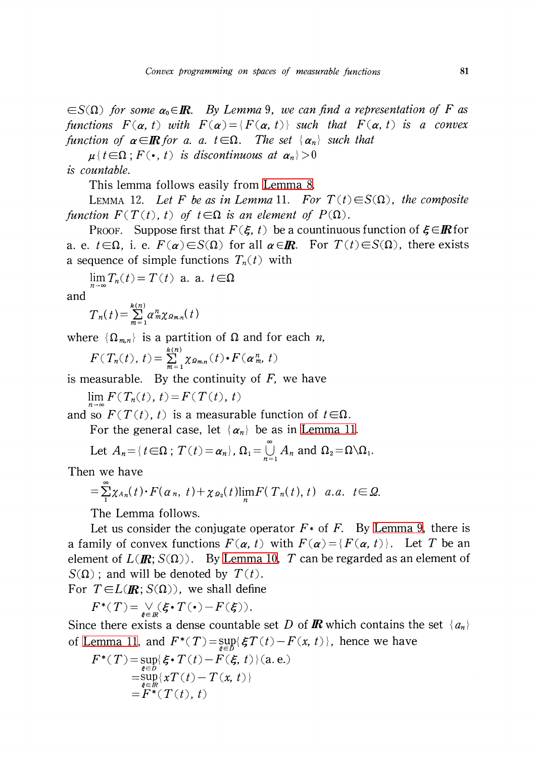$\in$ S( $\Omega$ ) for some  $\alpha_{0} \in I\!\!R$ . By Lemma 9, we can find a representation of F as functions  $F(\alpha, t)$  with  $F(\alpha)=\{F(\alpha, t)\}$  such that  $F(\alpha, t)$  is a convex function of  $\alpha\in \mathbb{R}$  for a. a.  $t\in\Omega$ . The set  $\{\alpha_{n}\}\$  such that

 $\mu \{ t \in \Omega ; F ( \cdot , t) \text{ is discontinuous at } \alpha_{n} \} > 0$ 

is countable.

This lemma follows easily from [Lemma](#page-3-0) 8.

LEMMA 12. Let F be as in Lemma 11. For  $T(t)\in S(\Omega)$ , the composite function  $F(T(t), t)$  of  $t \in \Omega$  is an element of  $P(\Omega)$ .

PROOF. Suppose first that  $F(\xi, t)$  be a countinuous function of  $\xi\in I\!\!R$  for a. e.  $t\in\Omega$ , i. e.  $F(\alpha)\in S(\Omega)$  for all  $\alpha\in I\!\! R$ . For  $T(t)\in S(\Omega)$ , there exists a sequence of simple functions  $T_{n}(t)$  with

 $\lim T_{n}(t)=T(t)$  a. a .  $t\in\Omega$ 

and

$$
T_n(t) = \sum_{m=1}^{k(n)} a_m^n \chi_{\Omega_{m,n}}(t)
$$

where  $\{\Omega_{m,n}\}\$ is a partition of  $\Omega$  and for each *n*,

$$
F(T_n(t), t) = \sum_{m=1}^{k(n)} \chi_{\varrho_{m,n}}(t) \cdot F(\alpha_m^n, t)
$$

is measurable. By the continuity of  $F$ , we have

 $\lim_{h \to 0} F ( T_{n}(t), t)=F ( T(t), t)$ 

and so  $F(T(t), t)$  is a measurable function of  $t \in \Omega$ .

For the general case, let  $\{\alpha_{n}\}\$ be as in [Lemma](#page-5-0) 11.

Let 
$$
A_n = \{t \in \Omega : T(t) = \alpha_n\}, \Omega_1 = \bigcup_{n=1}^{\infty} A_n
$$
 and  $\Omega_2 = \Omega \setminus \Omega_1$ .

Then we have

$$
=\sum_{1}^{\infty}\chi_{A_n}(t)\cdot F(\alpha_n, t)+\chi_{\Omega_2}(t)\lim_{n}F(\big(T_n(t), t\big)\ a.a.\ t\in\Omega.
$$

The Lemma follows.

Let us consider the conjugate operator  $F*$  of F. By [Lemma](#page-4-0) 9, there is a family of convex functions  $F(\alpha, t)$  with  $F(\alpha)=\{F(\alpha, t)\}$ . Let T be an element of  $L(\mathbf{R}; S(\Omega))$ . By [Lemma](#page-5-1) 10, T can be regarded as an element of  $S(\Omega)$ ; and will be denoted by  $T(t)$ .

For  $T\in L(\mathbf{R}; S(\Omega))$ , we shall define

 $F^{*}(T)=\underset{\xi\in\mathbb{R}}{\vee}(\xi\cdot T(\cdot)-F(\xi)).$ 

Since there exists a dense countable set D of **R** which contains the set  $\{a_{n}\}$ of [Lemma](#page-5-0) 11, and  $F^{*}(T)= \sup_{\xi\in D}\{\xi T(t)-F(x, t)\}$ , hence we have

$$
F^*(T) = \sup_{\xi \in D} \{ \xi \cdot T(t) - F(\xi, t) \} (a.e.)
$$
  
= 
$$
\sup_{\xi \in \mathbb{R}} \{ xT(t) - T(x, t) \}
$$
  
= 
$$
F^*(T(t), t)
$$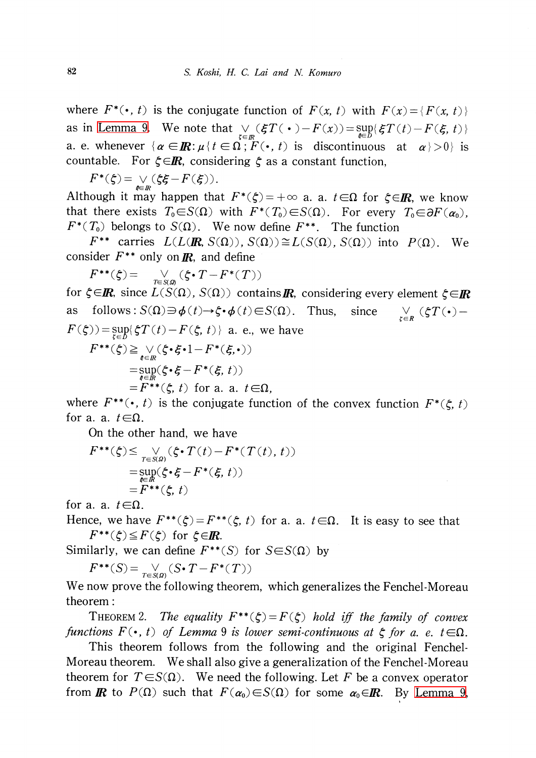where  $F^{*}(\cdot, t)$  is the conjugate function of  $F(x, t)$  with  $F(x)=\{F(x, t)\}$ as in [Lemma](#page-4-0) 9. We note that  $\bigvee_{\zeta\in \mathcal{I}}(\xi T(\cdot)-F(x))=\sup_{\zeta\in \mathcal{I}}\{\xi T(t)-F(\xi, t)\}$ a. e. whenever  $\{ \alpha\in\!I\!\! R\! : \! \mu\{ t\in\Omega \, ; \, \overline{F}(\bullet , \, t) \, \text{ is } \, \text{ discontinuous } \, \text{ at } \, \alpha\}>0 \}$  is countable. For  $\zeta \in \mathbb{R}$ , considering  $\zeta$  as a constant function,

 $F^{*}(\zeta)=\vee(\zeta\zeta-F(\zeta)).$ 

Although it may happen that  $F^{*}(\zeta)=+\infty$  a. a.  $t\in\Omega$  for  $\zeta\in I\!\! R,$  we know that there exists  $T_{0}{\in}S(\Omega)$  with  $F^{*}(T_{0}){\in}S(\Omega)$ . For every  $T_{0}{\in}\partial F(\alpha_{0}),$  $F^{*}(T_{0})$  belongs to  $S(\Omega)$ . We now define  $F^{**}$ . The function

 $F^{**}$  carries  $L(L(\mathbf{I\!R}, S(\Omega)) , S(\Omega)) \cong L(S(\Omega), S(\Omega))$  into  $P(\Omega)$ . We consider  $F^{**}$  only on  $\mathbb{R}$ , and define

 $F^{**}(\xi) = \bigvee_{T\in\mathcal{S}(\mathcal{Q})}(\xi\cdot T-F^{*}(T))$ for  $\zeta \in \! I\!\! R$ , since  $L(S(\Omega), \, S(\Omega))$  contains  $\!! I\!\! R$ , considering every element  $\zeta \!\in \! I\!\! R$ as follows:  $S(\Omega)\ni\phi(t)\rightarrow\xi\cdot\phi(t)\in S(\Omega)$ . Thus. since  $\sum_{\zeta \in R} (\zeta T(\cdot) F(\xi)$ ) =  $\sup_{\xi\in D}\{\xi T(t)-F(\xi, t)\}\;$  a. e., we have  $F^{**}(\xi)\!\geq\!\bigvee_{\xi\in I\!\!R}\!(\xi\!\cdot\!\xi\!\cdot\!1\!-\!F^{*}(\xi, \!\cdot\,))$  $=\sup_{\xi\in\mathbb{R}}(\xi\cdot\xi-F^{*}(\xi, t))$  $=F^{**}(\xi, t)$  for a. a.  $t\in\Omega$ ,

where  $F^{**} (\cdot, t)$  is the conjugate function of the convex function  $F^{*}(\xi, t)$ for a. a.  $t\in\Omega$ .

On the other hand, we have

$$
F^{**}(\xi) \leq \bigvee_{T \in S(\mathcal{Q})} (\xi \cdot T(t) - F^*(T(t), t))
$$
  
= 
$$
\sup_{\xi \in \mathbb{R}} (\xi \cdot \xi - F^*(\xi, t))
$$
  
= 
$$
F^{**}(\xi, t)
$$

for a. a.  $t \in \Omega$ .

Hence, we have  $F^{**}(\zeta)=F^{**}(\zeta, t)$  for a. a.  $t\in\Omega$ . It is easy to see that  $F^{**}(\zeta)\leq F(\zeta)$  for  $\zeta\in I\!\! R$ .

Similarly, we can define  $F^{**}(S)$  for  $S\in S(\Omega)$  by

 $F^{**}(S)=\bigvee_{T\in S(\mathfrak{g})}(S\cdot T-F^{*}(T))$ 

We now prove the following theorem, which generalizes the Fenchel-Moreau theorem :

THEOREM 2. The equality  $F^{**}(\xi)=F(\xi)$  hold iff the family of convex functions  $F(\cdot, t)$  of Lemma 9 is lower semi-continuous at  $\xi$  for a. e.  $t \in \Omega$ .

This theorem follows from the following and the original Fenchel-Moreau theorem. We shall also give a generalization of the Fenchel-Moreau theorem for  $T\in S(\Omega)$ . We need the following. Let F be a convex operator from  $\mathbf R$  to  $P(\Omega)$  such that  $F(\alpha_{0})\in S(\Omega)$  for some  $\alpha_{0}\in \mathbf R$ . By [Lemma](#page-4-0) 9,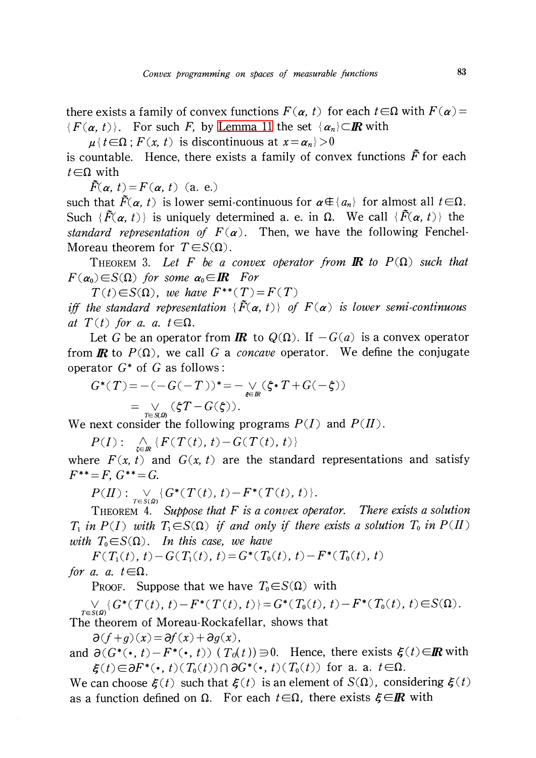there exists a family of convex functions  $F(\alpha, t)$  for each  $t\in\Omega$  with  $F(\alpha)=$  $\{F(\alpha, t)\}\$ . For such F, by [Lemma](#page-5-0) 11 the set  $\{\alpha_{n}\}\subset\mathbb{R}$  with

 $\mu {\nvert t \in \Omega; F (x, t)}$  is discontinuous at  $x=\alpha_{n}$  >0

is countable. Hence, there exists a family of convex functions  $\tilde{F}$  for each  $t\in\Omega$  with

 $\tilde{F}(\alpha, t)=F(\alpha, t)$  (a. e.)

such that  $\tilde{F}(\alpha, t)$  is lower semi-continuous for  $\alpha\!\in\!\{a_{n}\}$  for almost all  $t\!\in\!\Omega.$ Such  $\{\tilde{F}(\alpha, t)\}$  is uniquely determined a. e. in  $\Omega$ . We call  $\{\tilde{F}(\alpha, t)\}$  the standard representation of  $F(\alpha)$ . Then, we have the following Fenchel-Moreau theorem for  $T\in S(\Omega)$ .

<span id="page-8-0"></span>THEOREM 3. Let F be a convex operator from **IR** to  $P(\Omega)$  such that  $F(\alpha_{0})\in S(\Omega)$  for some  $\alpha_{0}\in \mathbb{R}$  For

 $T(t)\in S(\Omega)$ , we have  $F^{**}(T)=F(T)$ 

iff the standard representation  $\{\tilde{F}(\alpha, t)\}\;$  of  $F(\alpha)$  is lower semi-continuous at  $T(t)$  for a. a.  $t \in \Omega$ .

 $C(t)$  *for a. a. t* ∈Ω.<br>Let *G* be an operator from *IR* to Q(Ω). If  $-G(a)$  is a convex operator from **R** to  $P(\Omega)$ , we call G a *concave* operator. We define the conjugate operator  $G^{*}$  of G as follows:

$$
G^*(T) = -(-G(-T))^* = -\underset{\xi \in \mathbb{R}}{\vee} (\xi \cdot T + G(-\xi))
$$
  
= 
$$
\underset{T \in \mathcal{S}(\mathcal{Q})}{\vee} (\xi T - G(\xi)).
$$

We next consider the following programs  $P(I)$  and  $P(I)$ .

 $P(I) := \bigwedge_{t \in \mathbb{R}} \{ F( T(t), t) - G( T(t), t) \}$ 

where  $F(x, t)$  and  $G(x, t)$  are the standard representations and satisfy  $F^{**}=F, G^{**}=G.$ 

 $P(H): \underset{T\in S(\mathcal{Q})}{\vee} \{ G^{*}(T(t), t)-F^{*}(T(t), t)\} .$ 

THEOREM 4. Suppose that  $F$  is a convex operator. There exists a solution  $T_{1}$  in  $P(I)$  with  $T_{1}\in S(\Omega)$  if and only if there exists a solution  $T_{0}$  in  $P(I)$ with  $T_{0} \in S(\Omega)$ . In this case, we have

 $F(T_{1}(t), t)-G(T_{1}(t), t)=G^{*}(T_{0}(t), t)-F^{*}(T_{0}(t), t)$ for a. a.  $t \in \Omega$ .

PROOF. Suppose that we have  $T_{0} \in S(\Omega)$  with

 $\bigvee_{T\in\mathcal{S}(\Omega)}\{G^{*}(T(t), t)-F^{*}(T(t), t)\}=G^{*}(T_{0}(t), t)-F^{*}(T_{0}(t), t)\!\in\!\mathcal{S}(\Omega) .$ The theorem of Moreau-Rockafellar, shows that

 $\partial(f+q)(x)=\partial f(x)+\partial q(x)$  ,

and  $\partial(G^{*}(\cdot, t)-F^{*}(\cdot , t))$  (  $T_{0}(t))\supset 0$ . Hence, there exists  $\xi(t)\in I\!\!R$  with  $\xi(t) \in\partial F^{*}(\cdot, t) ( T_{0}(t))\cap\partial G^{*}(\cdot, t) ( T_{0}(t))$  for a. a.  $t\in\Omega$ .

We can choose  $\xi(t)$  such that  $\xi(t)$  is an element of  $S(\Omega)$ , considering  $\xi(t)$ as a function defined on  $\Omega$ . For each  $t\!\in\!\!\Omega$ , there exists  $\bm{\xi}\!\in\!\!I\!\!R$  with